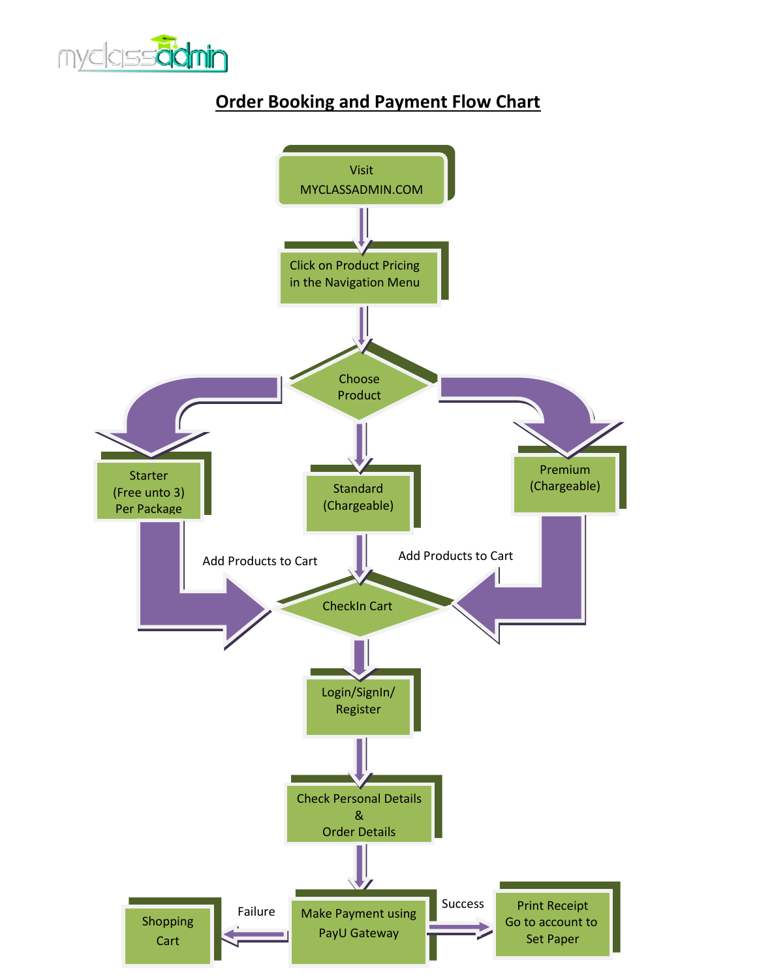

# **Order Booking and Payment Flow Chart**